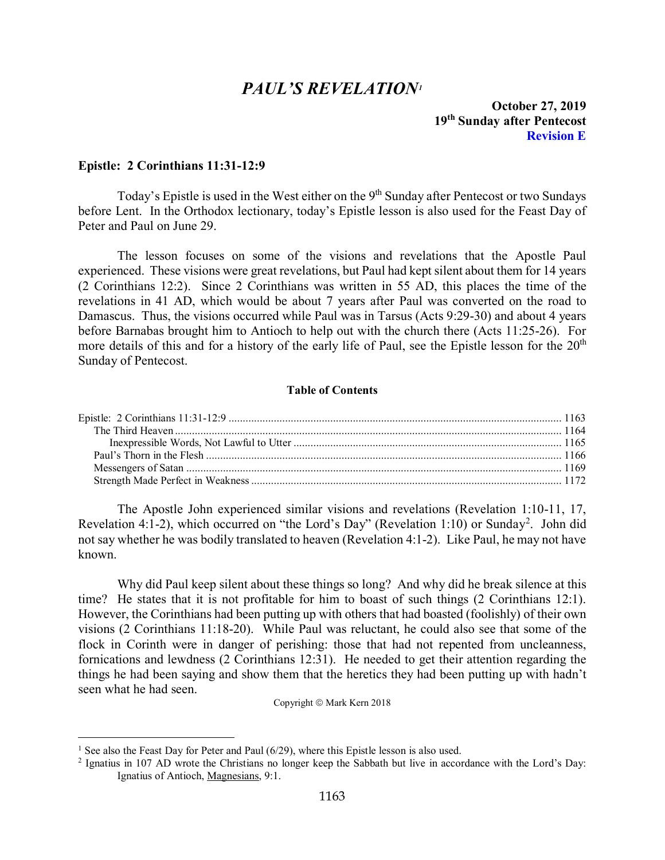# *PAUL'S REVELATION[1](#page-0-1)*

**October 27, 2019 19th Sunday after Pentecost Revision E**

## <span id="page-0-0"></span>**Epistle: 2 Corinthians 11:31-12:9**

Today's Epistle is used in the West either on the 9<sup>th</sup> Sunday after Pentecost or two Sundays before Lent. In the Orthodox lectionary, today's Epistle lesson is also used for the Feast Day of Peter and Paul on June 29.

The lesson focuses on some of the visions and revelations that the Apostle Paul experienced. These visions were great revelations, but Paul had kept silent about them for 14 years (2 Corinthians 12:2). Since 2 Corinthians was written in 55 AD, this places the time of the revelations in 41 AD, which would be about 7 years after Paul was converted on the road to Damascus. Thus, the visions occurred while Paul was in Tarsus (Acts 9:29-30) and about 4 years before Barnabas brought him to Antioch to help out with the church there (Acts 11:25-26). For more details of this and for a history of the early life of Paul, see the Epistle lesson for the  $20<sup>th</sup>$ Sunday of Pentecost.

#### **Table of Contents**

The Apostle John experienced similar visions and revelations (Revelation 1:10-11, 17, Revelation 4:1-[2](#page-0-2)), which occurred on "the Lord's Day" (Revelation 1:10) or Sunday<sup>2</sup>. John did not say whether he was bodily translated to heaven (Revelation 4:1-2). Like Paul, he may not have known.

Why did Paul keep silent about these things so long? And why did he break silence at this time? He states that it is not profitable for him to boast of such things (2 Corinthians 12:1). However, the Corinthians had been putting up with others that had boasted (foolishly) of their own visions (2 Corinthians 11:18-20). While Paul was reluctant, he could also see that some of the flock in Corinth were in danger of perishing: those that had not repented from uncleanness, fornications and lewdness (2 Corinthians 12:31). He needed to get their attention regarding the things he had been saying and show them that the heretics they had been putting up with hadn't seen what he had seen.

Copyright © Mark Kern 2018

<span id="page-0-1"></span><sup>&</sup>lt;sup>1</sup> See also the Feast Day for Peter and Paul  $(6/29)$ , where this Epistle lesson is also used.

<span id="page-0-2"></span><sup>2</sup> Ignatius in 107 AD wrote the Christians no longer keep the Sabbath but live in accordance with the Lord's Day: Ignatius of Antioch, Magnesians, 9:1.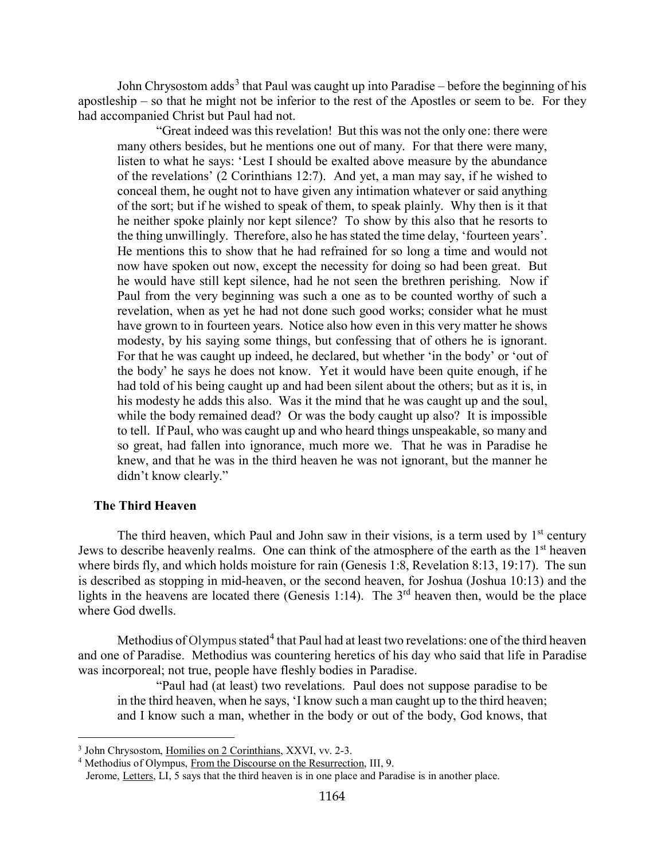John Chrysostom adds<sup>[3](#page-1-1)</sup> that Paul was caught up into Paradise – before the beginning of his apostleship – so that he might not be inferior to the rest of the Apostles or seem to be. For they had accompanied Christ but Paul had not.

"Great indeed was this revelation! But this was not the only one: there were many others besides, but he mentions one out of many. For that there were many, listen to what he says: 'Lest I should be exalted above measure by the abundance of the revelations' (2 Corinthians 12:7). And yet, a man may say, if he wished to conceal them, he ought not to have given any intimation whatever or said anything of the sort; but if he wished to speak of them, to speak plainly. Why then is it that he neither spoke plainly nor kept silence? To show by this also that he resorts to the thing unwillingly. Therefore, also he has stated the time delay, 'fourteen years'. He mentions this to show that he had refrained for so long a time and would not now have spoken out now, except the necessity for doing so had been great. But he would have still kept silence, had he not seen the brethren perishing. Now if Paul from the very beginning was such a one as to be counted worthy of such a revelation, when as yet he had not done such good works; consider what he must have grown to in fourteen years. Notice also how even in this very matter he shows modesty, by his saying some things, but confessing that of others he is ignorant. For that he was caught up indeed, he declared, but whether 'in the body' or 'out of the body' he says he does not know. Yet it would have been quite enough, if he had told of his being caught up and had been silent about the others; but as it is, in his modesty he adds this also. Was it the mind that he was caught up and the soul, while the body remained dead? Or was the body caught up also? It is impossible to tell. If Paul, who was caught up and who heard things unspeakable, so many and so great, had fallen into ignorance, much more we. That he was in Paradise he knew, and that he was in the third heaven he was not ignorant, but the manner he didn't know clearly."

## <span id="page-1-0"></span>**The Third Heaven**

The third heaven, which Paul and John saw in their visions, is a term used by  $1<sup>st</sup>$  century Jews to describe heavenly realms. One can think of the atmosphere of the earth as the 1<sup>st</sup> heaven where birds fly, and which holds moisture for rain (Genesis 1:8, Revelation 8:13, 19:17). The sun is described as stopping in mid-heaven, or the second heaven, for Joshua (Joshua 10:13) and the lights in the heavens are located there (Genesis 1:14). The  $3<sup>rd</sup>$  heaven then, would be the place where God dwells.

Methodius of Olympus stated<sup>[4](#page-1-2)</sup> that Paul had at least two revelations: one of the third heaven and one of Paradise. Methodius was countering heretics of his day who said that life in Paradise was incorporeal; not true, people have fleshly bodies in Paradise.

"Paul had (at least) two revelations. Paul does not suppose paradise to be in the third heaven, when he says, 'I know such a man caught up to the third heaven; and I know such a man, whether in the body or out of the body, God knows, that

<span id="page-1-1"></span><sup>3</sup> John Chrysostom, Homilies on 2 Corinthians, XXVI, vv. 2-3.

<span id="page-1-2"></span><sup>&</sup>lt;sup>4</sup> Methodius of Olympus, From the Discourse on the Resurrection, III, 9.

Jerome, Letters, LI, 5 says that the third heaven is in one place and Paradise is in another place.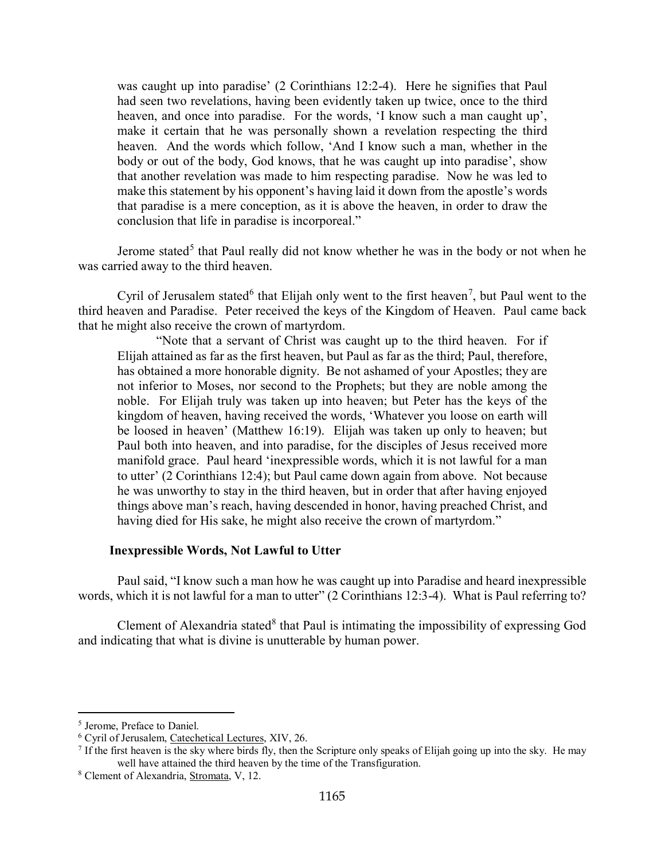was caught up into paradise' (2 Corinthians 12:2-4). Here he signifies that Paul had seen two revelations, having been evidently taken up twice, once to the third heaven, and once into paradise. For the words, 'I know such a man caught up', make it certain that he was personally shown a revelation respecting the third heaven. And the words which follow, 'And I know such a man, whether in the body or out of the body, God knows, that he was caught up into paradise', show that another revelation was made to him respecting paradise. Now he was led to make this statement by his opponent's having laid it down from the apostle's words that paradise is a mere conception, as it is above the heaven, in order to draw the conclusion that life in paradise is incorporeal."

Jerome stated<sup>[5](#page-2-1)</sup> that Paul really did not know whether he was in the body or not when he was carried away to the third heaven.

Cyril of Jerusalem stated<sup>[6](#page-2-2)</sup> that Elijah only went to the first heaven<sup>[7](#page-2-3)</sup>, but Paul went to the third heaven and Paradise. Peter received the keys of the Kingdom of Heaven. Paul came back that he might also receive the crown of martyrdom.

"Note that a servant of Christ was caught up to the third heaven. For if Elijah attained as far as the first heaven, but Paul as far as the third; Paul, therefore, has obtained a more honorable dignity. Be not ashamed of your Apostles; they are not inferior to Moses, nor second to the Prophets; but they are noble among the noble. For Elijah truly was taken up into heaven; but Peter has the keys of the kingdom of heaven, having received the words, 'Whatever you loose on earth will be loosed in heaven' (Matthew 16:19). Elijah was taken up only to heaven; but Paul both into heaven, and into paradise, for the disciples of Jesus received more manifold grace. Paul heard 'inexpressible words, which it is not lawful for a man to utter' (2 Corinthians 12:4); but Paul came down again from above. Not because he was unworthy to stay in the third heaven, but in order that after having enjoyed things above man's reach, having descended in honor, having preached Christ, and having died for His sake, he might also receive the crown of martyrdom."

### **Inexpressible Words, Not Lawful to Utter**

<span id="page-2-0"></span>Paul said, "I know such a man how he was caught up into Paradise and heard inexpressible words, which it is not lawful for a man to utter" (2 Corinthians 12:3-4). What is Paul referring to?

Clement of Alexandria stated $8$  that Paul is intimating the impossibility of expressing God and indicating that what is divine is unutterable by human power.

<span id="page-2-1"></span><sup>5</sup> Jerome, Preface to Daniel.

<span id="page-2-2"></span><sup>6</sup> Cyril of Jerusalem, Catechetical Lectures, XIV, 26.

<span id="page-2-3"></span> $<sup>7</sup>$  If the first heaven is the sky where birds fly, then the Scripture only speaks of Elijah going up into the sky. He may</sup> well have attained the third heaven by the time of the Transfiguration.

<span id="page-2-4"></span><sup>8</sup> Clement of Alexandria, Stromata, V, 12.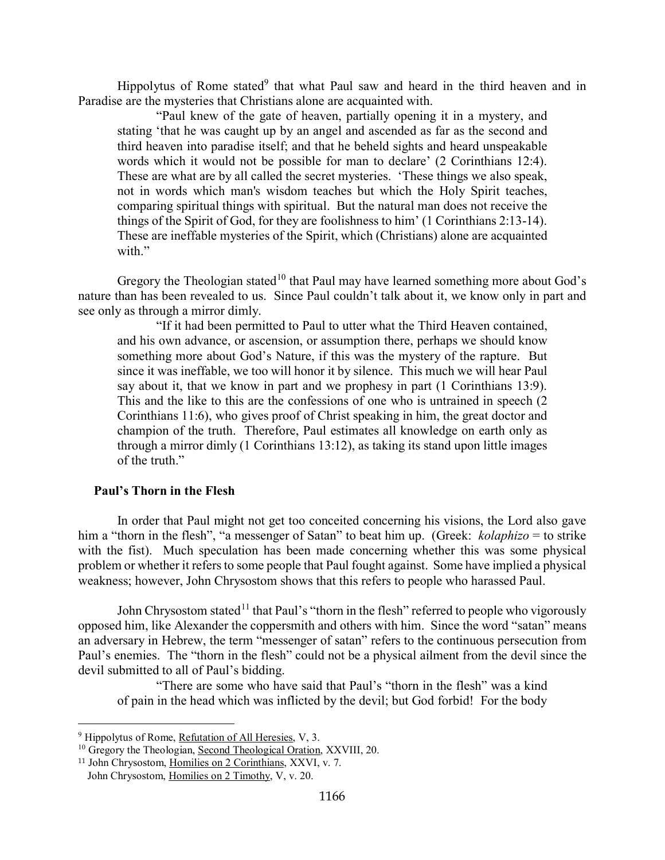Hippolytus of Rome stated<sup>[9](#page-3-1)</sup> that what Paul saw and heard in the third heaven and in Paradise are the mysteries that Christians alone are acquainted with.

"Paul knew of the gate of heaven, partially opening it in a mystery, and stating 'that he was caught up by an angel and ascended as far as the second and third heaven into paradise itself; and that he beheld sights and heard unspeakable words which it would not be possible for man to declare' (2 Corinthians 12:4). These are what are by all called the secret mysteries. 'These things we also speak, not in words which man's wisdom teaches but which the Holy Spirit teaches, comparing spiritual things with spiritual. But the natural man does not receive the things of the Spirit of God, for they are foolishness to him' (1 Corinthians 2:13-14). These are ineffable mysteries of the Spirit, which (Christians) alone are acquainted with."

Gregory the Theologian stated<sup>[10](#page-3-2)</sup> that Paul may have learned something more about God's nature than has been revealed to us. Since Paul couldn't talk about it, we know only in part and see only as through a mirror dimly.

"If it had been permitted to Paul to utter what the Third Heaven contained, and his own advance, or ascension, or assumption there, perhaps we should know something more about God's Nature, if this was the mystery of the rapture. But since it was ineffable, we too will honor it by silence. This much we will hear Paul say about it, that we know in part and we prophesy in part (1 Corinthians 13:9). This and the like to this are the confessions of one who is untrained in speech (2 Corinthians 11:6), who gives proof of Christ speaking in him, the great doctor and champion of the truth. Therefore, Paul estimates all knowledge on earth only as through a mirror dimly (1 Corinthians 13:12), as taking its stand upon little images of the truth."

### <span id="page-3-0"></span>**Paul's Thorn in the Flesh**

In order that Paul might not get too conceited concerning his visions, the Lord also gave him a "thorn in the flesh", "a messenger of Satan" to beat him up. (Greek: *kolaphizo* = to strike with the fist). Much speculation has been made concerning whether this was some physical problem or whether it refers to some people that Paul fought against. Some have implied a physical weakness; however, John Chrysostom shows that this refers to people who harassed Paul.

John Chrysostom stated<sup>[11](#page-3-3)</sup> that Paul's "thorn in the flesh" referred to people who vigorously opposed him, like Alexander the coppersmith and others with him. Since the word "satan" means an adversary in Hebrew, the term "messenger of satan" refers to the continuous persecution from Paul's enemies. The "thorn in the flesh" could not be a physical ailment from the devil since the devil submitted to all of Paul's bidding.

"There are some who have said that Paul's "thorn in the flesh" was a kind of pain in the head which was inflicted by the devil; but God forbid! For the body

<span id="page-3-1"></span> $9$  Hippolytus of Rome, Refutation of All Heresies, V, 3.

<span id="page-3-2"></span><sup>&</sup>lt;sup>10</sup> Gregory the Theologian, Second Theological Oration, XXVIII, 20.

<span id="page-3-3"></span><sup>11</sup> John Chrysostom, Homilies on 2 Corinthians, XXVI, v. 7. John Chrysostom, Homilies on 2 Timothy, V, v. 20.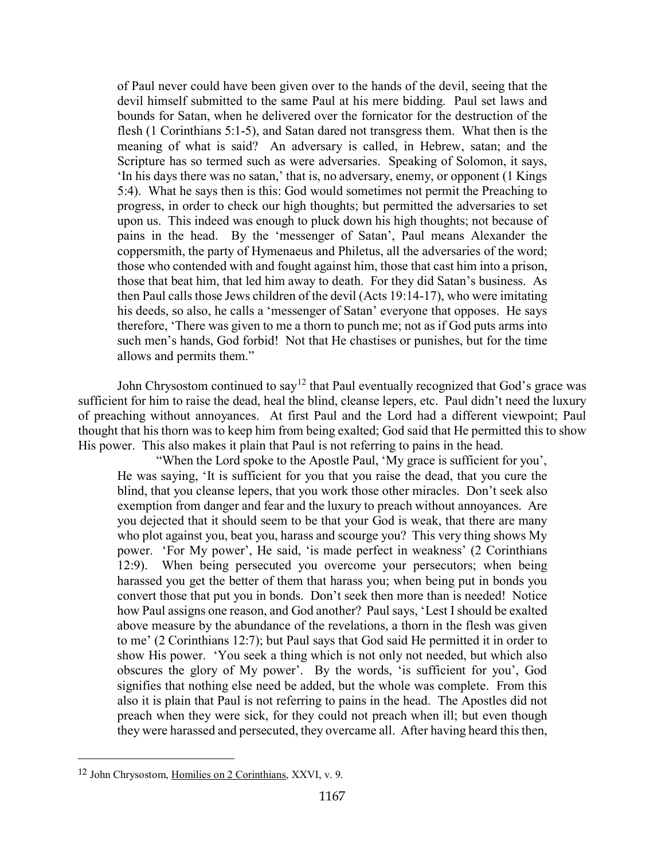of Paul never could have been given over to the hands of the devil, seeing that the devil himself submitted to the same Paul at his mere bidding. Paul set laws and bounds for Satan, when he delivered over the fornicator for the destruction of the flesh (1 Corinthians 5:1-5), and Satan dared not transgress them. What then is the meaning of what is said? An adversary is called, in Hebrew, satan; and the Scripture has so termed such as were adversaries. Speaking of Solomon, it says, 'In his days there was no satan,' that is, no adversary, enemy, or opponent (1 Kings 5:4). What he says then is this: God would sometimes not permit the Preaching to progress, in order to check our high thoughts; but permitted the adversaries to set upon us. This indeed was enough to pluck down his high thoughts; not because of pains in the head. By the 'messenger of Satan', Paul means Alexander the coppersmith, the party of Hymenaeus and Philetus, all the adversaries of the word; those who contended with and fought against him, those that cast him into a prison, those that beat him, that led him away to death. For they did Satan's business. As then Paul calls those Jews children of the devil (Acts 19:14-17), who were imitating his deeds, so also, he calls a 'messenger of Satan' everyone that opposes. He says therefore, 'There was given to me a thorn to punch me; not as if God puts arms into such men's hands, God forbid! Not that He chastises or punishes, but for the time allows and permits them."

John Chrysostom continued to say<sup>[12](#page-4-0)</sup> that Paul eventually recognized that God's grace was sufficient for him to raise the dead, heal the blind, cleanse lepers, etc. Paul didn't need the luxury of preaching without annoyances. At first Paul and the Lord had a different viewpoint; Paul thought that his thorn was to keep him from being exalted; God said that He permitted this to show His power. This also makes it plain that Paul is not referring to pains in the head.

"When the Lord spoke to the Apostle Paul, 'My grace is sufficient for you', He was saying, 'It is sufficient for you that you raise the dead, that you cure the blind, that you cleanse lepers, that you work those other miracles. Don't seek also exemption from danger and fear and the luxury to preach without annoyances. Are you dejected that it should seem to be that your God is weak, that there are many who plot against you, beat you, harass and scourge you? This very thing shows My power. 'For My power', He said, 'is made perfect in weakness' (2 Corinthians 12:9). When being persecuted you overcome your persecutors; when being harassed you get the better of them that harass you; when being put in bonds you convert those that put you in bonds. Don't seek then more than is needed! Notice how Paul assigns one reason, and God another? Paul says, 'Lest I should be exalted above measure by the abundance of the revelations, a thorn in the flesh was given to me' (2 Corinthians 12:7); but Paul says that God said He permitted it in order to show His power. 'You seek a thing which is not only not needed, but which also obscures the glory of My power'. By the words, 'is sufficient for you', God signifies that nothing else need be added, but the whole was complete. From this also it is plain that Paul is not referring to pains in the head. The Apostles did not preach when they were sick, for they could not preach when ill; but even though they were harassed and persecuted, they overcame all. After having heard this then,

<span id="page-4-0"></span><sup>12</sup> John Chrysostom, Homilies on 2 Corinthians, XXVI, v. 9.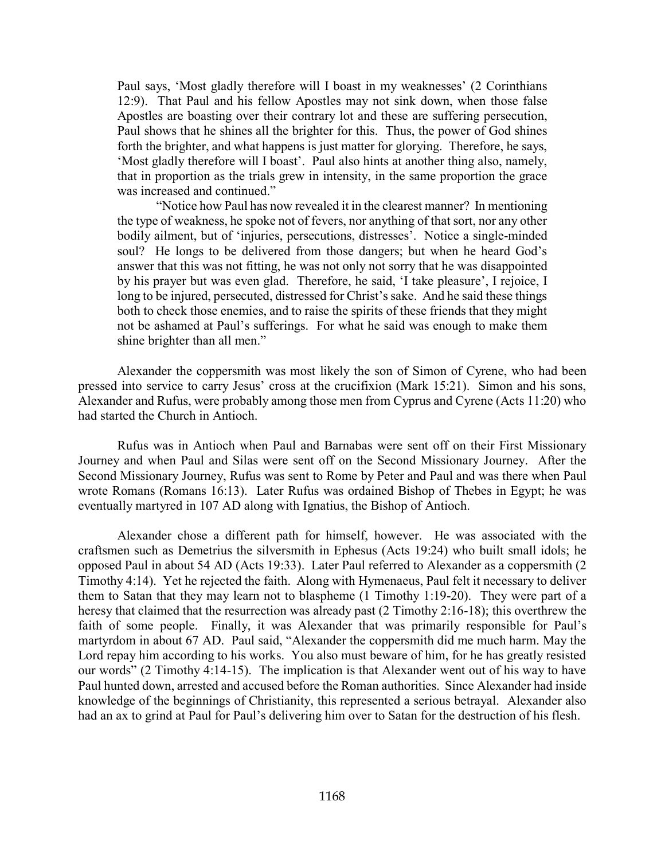Paul says, 'Most gladly therefore will I boast in my weaknesses' (2 Corinthians 12:9). That Paul and his fellow Apostles may not sink down, when those false Apostles are boasting over their contrary lot and these are suffering persecution, Paul shows that he shines all the brighter for this. Thus, the power of God shines forth the brighter, and what happens is just matter for glorying. Therefore, he says, 'Most gladly therefore will I boast'. Paul also hints at another thing also, namely, that in proportion as the trials grew in intensity, in the same proportion the grace was increased and continued."

"Notice how Paul has now revealed it in the clearest manner? In mentioning the type of weakness, he spoke not of fevers, nor anything of that sort, nor any other bodily ailment, but of 'injuries, persecutions, distresses'. Notice a single-minded soul? He longs to be delivered from those dangers; but when he heard God's answer that this was not fitting, he was not only not sorry that he was disappointed by his prayer but was even glad. Therefore, he said, 'I take pleasure', I rejoice, I long to be injured, persecuted, distressed for Christ's sake. And he said these things both to check those enemies, and to raise the spirits of these friends that they might not be ashamed at Paul's sufferings. For what he said was enough to make them shine brighter than all men."

Alexander the coppersmith was most likely the son of Simon of Cyrene, who had been pressed into service to carry Jesus' cross at the crucifixion (Mark 15:21). Simon and his sons, Alexander and Rufus, were probably among those men from Cyprus and Cyrene (Acts 11:20) who had started the Church in Antioch.

Rufus was in Antioch when Paul and Barnabas were sent off on their First Missionary Journey and when Paul and Silas were sent off on the Second Missionary Journey. After the Second Missionary Journey, Rufus was sent to Rome by Peter and Paul and was there when Paul wrote Romans (Romans 16:13). Later Rufus was ordained Bishop of Thebes in Egypt; he was eventually martyred in 107 AD along with Ignatius, the Bishop of Antioch.

Alexander chose a different path for himself, however. He was associated with the craftsmen such as Demetrius the silversmith in Ephesus (Acts 19:24) who built small idols; he opposed Paul in about 54 AD (Acts 19:33). Later Paul referred to Alexander as a coppersmith (2 Timothy 4:14). Yet he rejected the faith. Along with Hymenaeus, Paul felt it necessary to deliver them to Satan that they may learn not to blaspheme (1 Timothy 1:19-20). They were part of a heresy that claimed that the resurrection was already past (2 Timothy 2:16-18); this overthrew the faith of some people. Finally, it was Alexander that was primarily responsible for Paul's martyrdom in about 67 AD. Paul said, "Alexander the coppersmith did me much harm. May the Lord repay him according to his works. You also must beware of him, for he has greatly resisted our words" (2 Timothy 4:14-15). The implication is that Alexander went out of his way to have Paul hunted down, arrested and accused before the Roman authorities. Since Alexander had inside knowledge of the beginnings of Christianity, this represented a serious betrayal. Alexander also had an ax to grind at Paul for Paul's delivering him over to Satan for the destruction of his flesh.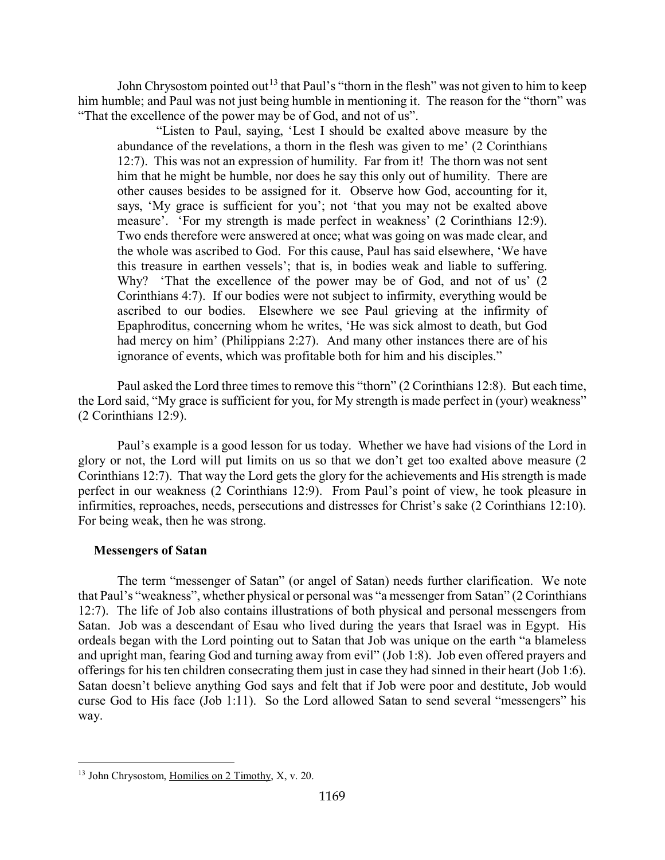John Chrysostom pointed out<sup>[13](#page-6-1)</sup> that Paul's "thorn in the flesh" was not given to him to keep him humble; and Paul was not just being humble in mentioning it. The reason for the "thorn" was "That the excellence of the power may be of God, and not of us".

"Listen to Paul, saying, 'Lest I should be exalted above measure by the abundance of the revelations, a thorn in the flesh was given to me' (2 Corinthians 12:7). This was not an expression of humility. Far from it! The thorn was not sent him that he might be humble, nor does he say this only out of humility. There are other causes besides to be assigned for it. Observe how God, accounting for it, says, 'My grace is sufficient for you'; not 'that you may not be exalted above measure'. 'For my strength is made perfect in weakness' (2 Corinthians 12:9). Two ends therefore were answered at once; what was going on was made clear, and the whole was ascribed to God. For this cause, Paul has said elsewhere, 'We have this treasure in earthen vessels'; that is, in bodies weak and liable to suffering. Why? 'That the excellence of the power may be of God, and not of us' (2 Corinthians 4:7). If our bodies were not subject to infirmity, everything would be ascribed to our bodies. Elsewhere we see Paul grieving at the infirmity of Epaphroditus, concerning whom he writes, 'He was sick almost to death, but God had mercy on him' (Philippians 2:27). And many other instances there are of his ignorance of events, which was profitable both for him and his disciples."

Paul asked the Lord three times to remove this "thorn" (2 Corinthians 12:8). But each time, the Lord said, "My grace is sufficient for you, for My strength is made perfect in (your) weakness" (2 Corinthians 12:9).

Paul's example is a good lesson for us today. Whether we have had visions of the Lord in glory or not, the Lord will put limits on us so that we don't get too exalted above measure (2 Corinthians 12:7). That way the Lord gets the glory for the achievements and His strength is made perfect in our weakness (2 Corinthians 12:9). From Paul's point of view, he took pleasure in infirmities, reproaches, needs, persecutions and distresses for Christ's sake (2 Corinthians 12:10). For being weak, then he was strong.

### <span id="page-6-0"></span>**Messengers of Satan**

The term "messenger of Satan" (or angel of Satan) needs further clarification. We note that Paul's "weakness", whether physical or personal was "a messenger from Satan" (2 Corinthians 12:7). The life of Job also contains illustrations of both physical and personal messengers from Satan. Job was a descendant of Esau who lived during the years that Israel was in Egypt. His ordeals began with the Lord pointing out to Satan that Job was unique on the earth "a blameless and upright man, fearing God and turning away from evil" (Job 1:8). Job even offered prayers and offerings for his ten children consecrating them just in case they had sinned in their heart (Job 1:6). Satan doesn't believe anything God says and felt that if Job were poor and destitute, Job would curse God to His face (Job 1:11). So the Lord allowed Satan to send several "messengers" his way.

<span id="page-6-1"></span><sup>&</sup>lt;sup>13</sup> John Chrysostom, Homilies on 2 Timothy, X, v. 20.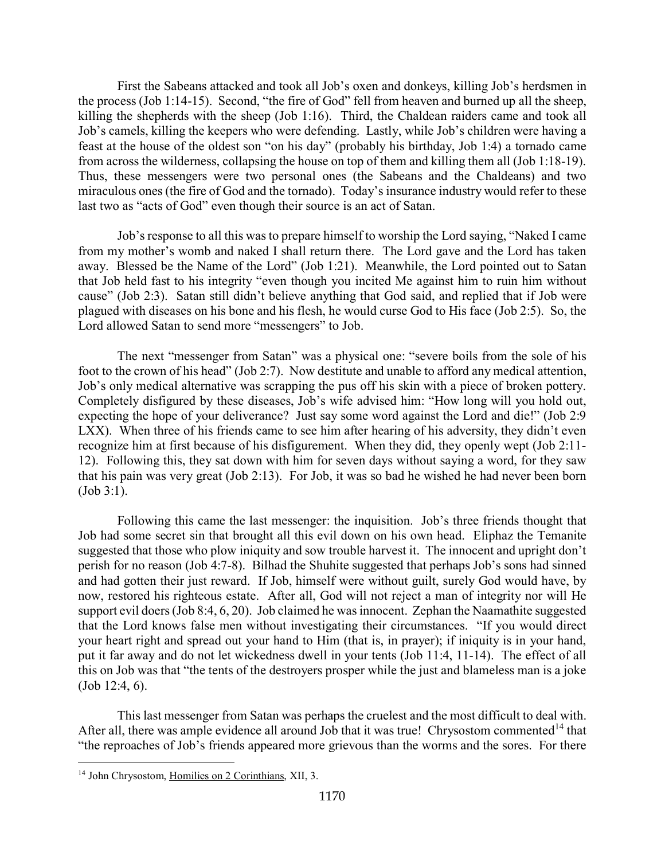First the Sabeans attacked and took all Job's oxen and donkeys, killing Job's herdsmen in the process (Job 1:14-15). Second, "the fire of God" fell from heaven and burned up all the sheep, killing the shepherds with the sheep (Job 1:16). Third, the Chaldean raiders came and took all Job's camels, killing the keepers who were defending. Lastly, while Job's children were having a feast at the house of the oldest son "on his day" (probably his birthday, Job 1:4) a tornado came from across the wilderness, collapsing the house on top of them and killing them all (Job 1:18-19). Thus, these messengers were two personal ones (the Sabeans and the Chaldeans) and two miraculous ones (the fire of God and the tornado). Today's insurance industry would refer to these last two as "acts of God" even though their source is an act of Satan.

Job's response to all this was to prepare himself to worship the Lord saying, "Naked I came from my mother's womb and naked I shall return there. The Lord gave and the Lord has taken away. Blessed be the Name of the Lord" (Job 1:21). Meanwhile, the Lord pointed out to Satan that Job held fast to his integrity "even though you incited Me against him to ruin him without cause" (Job 2:3). Satan still didn't believe anything that God said, and replied that if Job were plagued with diseases on his bone and his flesh, he would curse God to His face (Job 2:5). So, the Lord allowed Satan to send more "messengers" to Job.

The next "messenger from Satan" was a physical one: "severe boils from the sole of his foot to the crown of his head" (Job 2:7). Now destitute and unable to afford any medical attention, Job's only medical alternative was scrapping the pus off his skin with a piece of broken pottery. Completely disfigured by these diseases, Job's wife advised him: "How long will you hold out, expecting the hope of your deliverance? Just say some word against the Lord and die!" (Job 2:9 LXX). When three of his friends came to see him after hearing of his adversity, they didn't even recognize him at first because of his disfigurement. When they did, they openly wept (Job 2:11- 12). Following this, they sat down with him for seven days without saying a word, for they saw that his pain was very great (Job 2:13). For Job, it was so bad he wished he had never been born (Job 3:1).

Following this came the last messenger: the inquisition. Job's three friends thought that Job had some secret sin that brought all this evil down on his own head. Eliphaz the Temanite suggested that those who plow iniquity and sow trouble harvest it. The innocent and upright don't perish for no reason (Job 4:7-8). Bilhad the Shuhite suggested that perhaps Job's sons had sinned and had gotten their just reward. If Job, himself were without guilt, surely God would have, by now, restored his righteous estate. After all, God will not reject a man of integrity nor will He support evil doers (Job 8:4, 6, 20). Job claimed he was innocent. Zephan the Naamathite suggested that the Lord knows false men without investigating their circumstances. "If you would direct your heart right and spread out your hand to Him (that is, in prayer); if iniquity is in your hand, put it far away and do not let wickedness dwell in your tents (Job 11:4, 11-14). The effect of all this on Job was that "the tents of the destroyers prosper while the just and blameless man is a joke (Job 12:4, 6).

This last messenger from Satan was perhaps the cruelest and the most difficult to deal with. After all, there was ample evidence all around Job that it was true! Chrysostom commented<sup>[14](#page-7-0)</sup> that "the reproaches of Job's friends appeared more grievous than the worms and the sores. For there

<span id="page-7-0"></span><sup>&</sup>lt;sup>14</sup> John Chrysostom, Homilies on 2 Corinthians, XII, 3.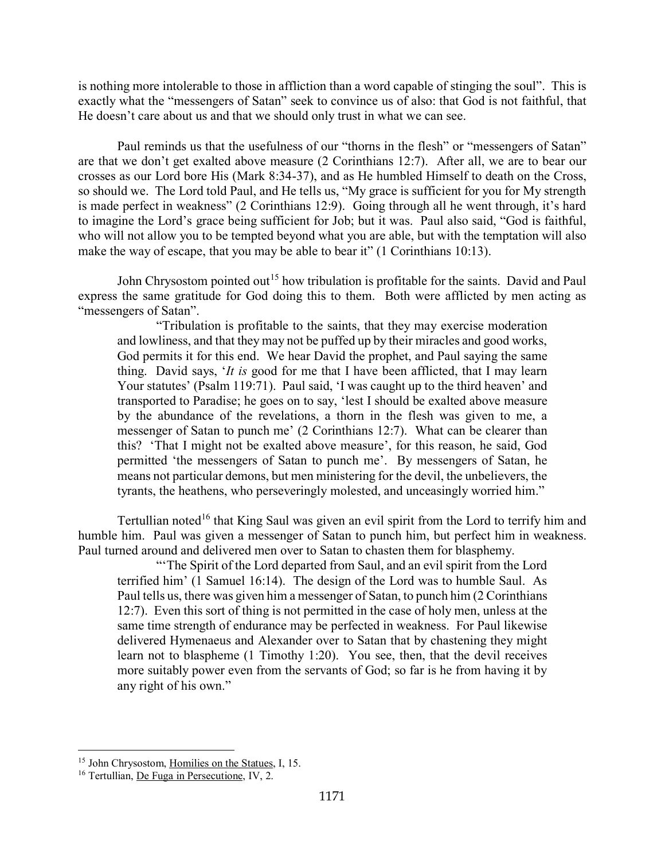is nothing more intolerable to those in affliction than a word capable of stinging the soul". This is exactly what the "messengers of Satan" seek to convince us of also: that God is not faithful, that He doesn't care about us and that we should only trust in what we can see.

Paul reminds us that the usefulness of our "thorns in the flesh" or "messengers of Satan" are that we don't get exalted above measure (2 Corinthians 12:7). After all, we are to bear our crosses as our Lord bore His (Mark 8:34-37), and as He humbled Himself to death on the Cross, so should we. The Lord told Paul, and He tells us, "My grace is sufficient for you for My strength is made perfect in weakness" (2 Corinthians 12:9). Going through all he went through, it's hard to imagine the Lord's grace being sufficient for Job; but it was. Paul also said, "God is faithful, who will not allow you to be tempted beyond what you are able, but with the temptation will also make the way of escape, that you may be able to bear it" (1 Corinthians 10:13).

John Chrysostom pointed out<sup>[15](#page-8-0)</sup> how tribulation is profitable for the saints. David and Paul express the same gratitude for God doing this to them. Both were afflicted by men acting as "messengers of Satan".

"Tribulation is profitable to the saints, that they may exercise moderation and lowliness, and that they may not be puffed up by their miracles and good works, God permits it for this end. We hear David the prophet, and Paul saying the same thing. David says, '*It is* good for me that I have been afflicted, that I may learn Your statutes' (Psalm 119:71). Paul said, 'I was caught up to the third heaven' and transported to Paradise; he goes on to say, 'lest I should be exalted above measure by the abundance of the revelations, a thorn in the flesh was given to me, a messenger of Satan to punch me' (2 Corinthians 12:7). What can be clearer than this? 'That I might not be exalted above measure', for this reason, he said, God permitted 'the messengers of Satan to punch me'. By messengers of Satan, he means not particular demons, but men ministering for the devil, the unbelievers, the tyrants, the heathens, who perseveringly molested, and unceasingly worried him."

Tertullian noted<sup>[16](#page-8-1)</sup> that King Saul was given an evil spirit from the Lord to terrify him and humble him. Paul was given a messenger of Satan to punch him, but perfect him in weakness. Paul turned around and delivered men over to Satan to chasten them for blasphemy.

"'The Spirit of the Lord departed from Saul, and an evil spirit from the Lord terrified him' (1 Samuel 16:14). The design of the Lord was to humble Saul. As Paul tells us, there was given him a messenger of Satan, to punch him (2 Corinthians 12:7). Even this sort of thing is not permitted in the case of holy men, unless at the same time strength of endurance may be perfected in weakness. For Paul likewise delivered Hymenaeus and Alexander over to Satan that by chastening they might learn not to blaspheme (1 Timothy 1:20). You see, then, that the devil receives more suitably power even from the servants of God; so far is he from having it by any right of his own."

<span id="page-8-0"></span><sup>&</sup>lt;sup>15</sup> John Chrysostom, Homilies on the Statues, I, 15.

<span id="page-8-1"></span><sup>16</sup> Tertullian, De Fuga in Persecutione, IV, 2.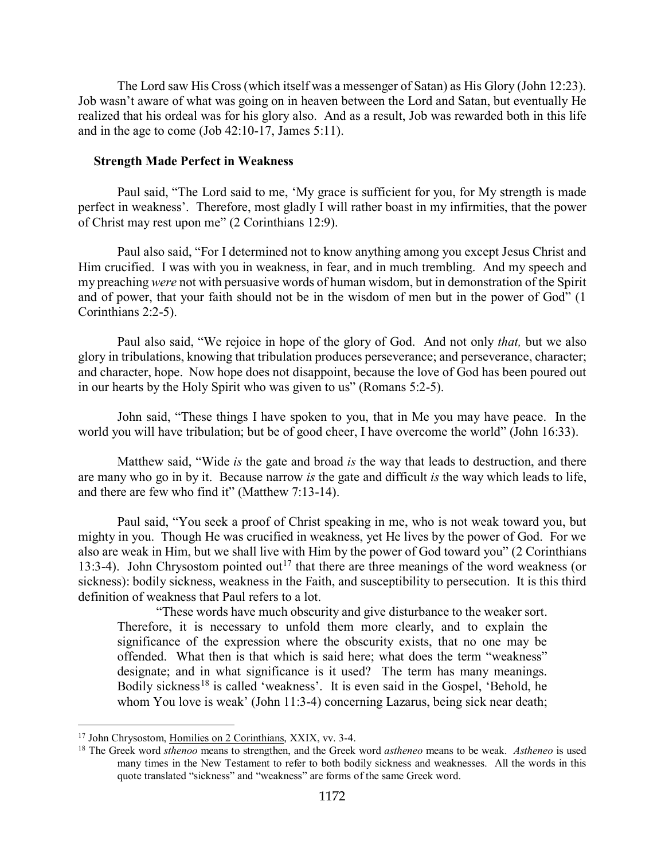The Lord saw His Cross (which itself was a messenger of Satan) as His Glory (John 12:23). Job wasn't aware of what was going on in heaven between the Lord and Satan, but eventually He realized that his ordeal was for his glory also. And as a result, Job was rewarded both in this life and in the age to come (Job 42:10-17, James 5:11).

### <span id="page-9-0"></span>**Strength Made Perfect in Weakness**

Paul said, "The Lord said to me, 'My grace is sufficient for you, for My strength is made perfect in weakness'. Therefore, most gladly I will rather boast in my infirmities, that the power of Christ may rest upon me" (2 Corinthians 12:9).

Paul also said, "For I determined not to know anything among you except Jesus Christ and Him crucified. I was with you in weakness, in fear, and in much trembling. And my speech and my preaching *were* not with persuasive words of human wisdom, but in demonstration of the Spirit and of power, that your faith should not be in the wisdom of men but in the power of God" (1 Corinthians 2:2-5).

Paul also said, "We rejoice in hope of the glory of God. And not only *that,* but we also glory in tribulations, knowing that tribulation produces perseverance; and perseverance, character; and character, hope. Now hope does not disappoint, because the love of God has been poured out in our hearts by the Holy Spirit who was given to us" (Romans 5:2-5).

John said, "These things I have spoken to you, that in Me you may have peace. In the world you will have tribulation; but be of good cheer, I have overcome the world" (John 16:33).

Matthew said, "Wide *is* the gate and broad *is* the way that leads to destruction, and there are many who go in by it. Because narrow *is* the gate and difficult *is* the way which leads to life, and there are few who find it" (Matthew 7:13-14).

Paul said, "You seek a proof of Christ speaking in me, who is not weak toward you, but mighty in you. Though He was crucified in weakness, yet He lives by the power of God. For we also are weak in Him, but we shall live with Him by the power of God toward you" (2 Corinthians 13:3-4). John Chrysostom pointed out<sup>[17](#page-9-1)</sup> that there are three meanings of the word weakness (or sickness): bodily sickness, weakness in the Faith, and susceptibility to persecution. It is this third definition of weakness that Paul refers to a lot.

"These words have much obscurity and give disturbance to the weaker sort. Therefore, it is necessary to unfold them more clearly, and to explain the significance of the expression where the obscurity exists, that no one may be offended. What then is that which is said here; what does the term "weakness" designate; and in what significance is it used? The term has many meanings. Bodily sickness<sup>[18](#page-9-2)</sup> is called 'weakness'. It is even said in the Gospel, 'Behold, he whom You love is weak' (John 11:3-4) concerning Lazarus, being sick near death;

<span id="page-9-1"></span><sup>17</sup> John Chrysostom, Homilies on 2 Corinthians, XXIX, vv. 3-4.

<span id="page-9-2"></span><sup>18</sup> The Greek word *sthenoo* means to strengthen, and the Greek word *astheneo* means to be weak. *Astheneo* is used many times in the New Testament to refer to both bodily sickness and weaknesses. All the words in this quote translated "sickness" and "weakness" are forms of the same Greek word.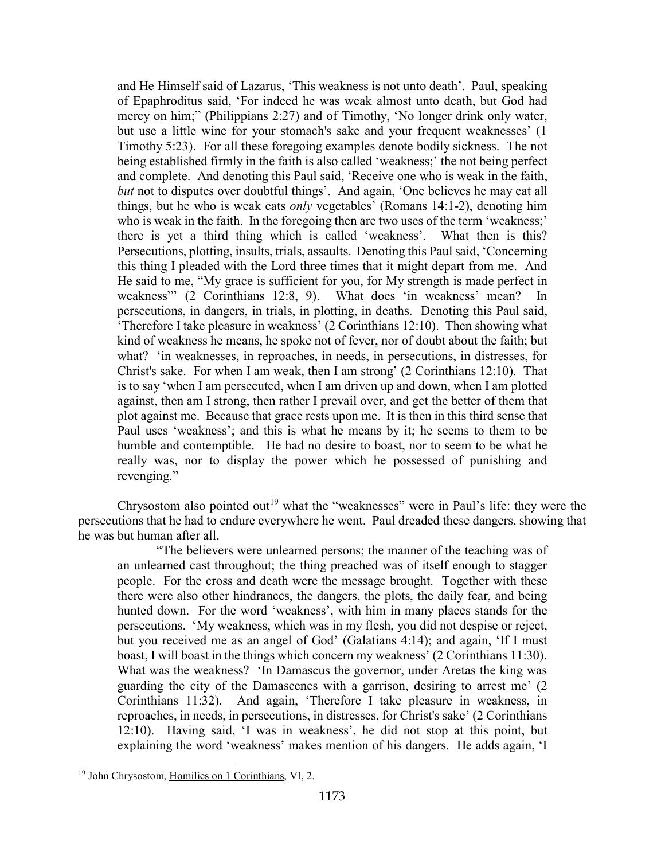and He Himself said of Lazarus, 'This weakness is not unto death'. Paul, speaking of Epaphroditus said, 'For indeed he was weak almost unto death, but God had mercy on him;" (Philippians 2:27) and of Timothy, 'No longer drink only water, but use a little wine for your stomach's sake and your frequent weaknesses' (1 Timothy 5:23). For all these foregoing examples denote bodily sickness. The not being established firmly in the faith is also called 'weakness;' the not being perfect and complete. And denoting this Paul said, 'Receive one who is weak in the faith, *but* not to disputes over doubtful things'. And again, 'One believes he may eat all things, but he who is weak eats *only* vegetables' (Romans 14:1-2), denoting him who is weak in the faith. In the foregoing then are two uses of the term 'weakness;' there is yet a third thing which is called 'weakness'. What then is this? Persecutions, plotting, insults, trials, assaults. Denoting this Paul said, 'Concerning this thing I pleaded with the Lord three times that it might depart from me. And He said to me, "My grace is sufficient for you, for My strength is made perfect in weakness"' (2 Corinthians 12:8, 9). What does 'in weakness' mean? In persecutions, in dangers, in trials, in plotting, in deaths. Denoting this Paul said, 'Therefore I take pleasure in weakness' (2 Corinthians 12:10). Then showing what kind of weakness he means, he spoke not of fever, nor of doubt about the faith; but what? 'in weaknesses, in reproaches, in needs, in persecutions, in distresses, for Christ's sake. For when I am weak, then I am strong' (2 Corinthians 12:10). That is to say 'when I am persecuted, when I am driven up and down, when I am plotted against, then am I strong, then rather I prevail over, and get the better of them that plot against me. Because that grace rests upon me. It is then in this third sense that Paul uses 'weakness'; and this is what he means by it; he seems to them to be humble and contemptible. He had no desire to boast, nor to seem to be what he really was, nor to display the power which he possessed of punishing and revenging."

Chrysostom also pointed out<sup>[19](#page-10-0)</sup> what the "weaknesses" were in Paul's life: they were the persecutions that he had to endure everywhere he went. Paul dreaded these dangers, showing that he was but human after all.

"The believers were unlearned persons; the manner of the teaching was of an unlearned cast throughout; the thing preached was of itself enough to stagger people. For the cross and death were the message brought. Together with these there were also other hindrances, the dangers, the plots, the daily fear, and being hunted down. For the word 'weakness', with him in many places stands for the persecutions. 'My weakness, which was in my flesh, you did not despise or reject, but you received me as an angel of God' (Galatians 4:14); and again, 'If I must boast, I will boast in the things which concern my weakness' (2 Corinthians 11:30). What was the weakness? 'In Damascus the governor, under Aretas the king was guarding the city of the Damascenes with a garrison, desiring to arrest me' (2 Corinthians 11:32). And again, 'Therefore I take pleasure in weakness, in reproaches, in needs, in persecutions, in distresses, for Christ's sake' (2 Corinthians 12:10). Having said, 'I was in weakness', he did not stop at this point, but explaining the word 'weakness' makes mention of his dangers. He adds again, 'I

<span id="page-10-0"></span><sup>19</sup> John Chrysostom, Homilies on 1 Corinthians, VI, 2.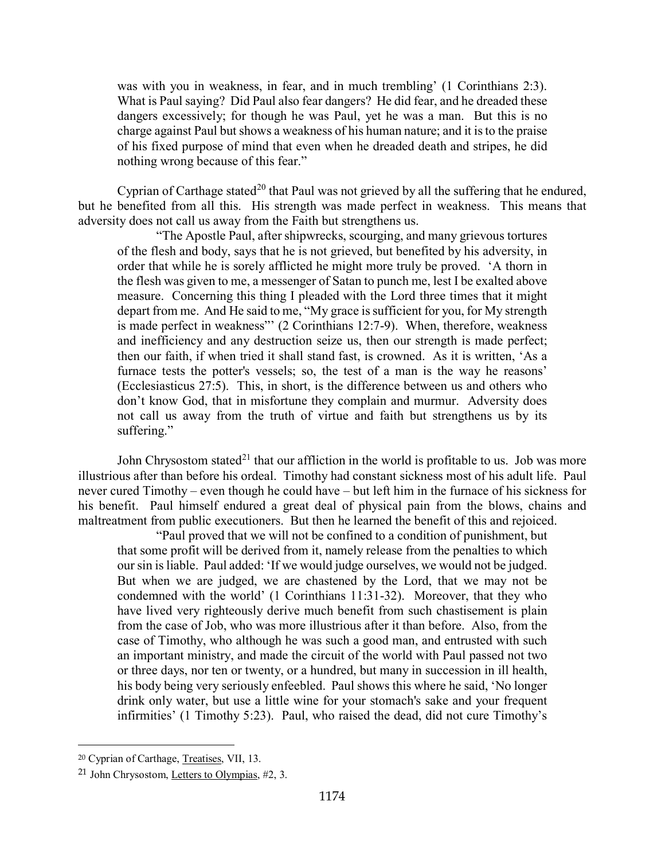was with you in weakness, in fear, and in much trembling' (1 Corinthians 2:3). What is Paul saying? Did Paul also fear dangers? He did fear, and he dreaded these dangers excessively; for though he was Paul, yet he was a man. But this is no charge against Paul but shows a weakness of his human nature; and it is to the praise of his fixed purpose of mind that even when he dreaded death and stripes, he did nothing wrong because of this fear."

Cyprian of Carthage stated<sup>[20](#page-11-0)</sup> that Paul was not grieved by all the suffering that he endured, but he benefited from all this. His strength was made perfect in weakness. This means that adversity does not call us away from the Faith but strengthens us.

"The Apostle Paul, after shipwrecks, scourging, and many grievous tortures of the flesh and body, says that he is not grieved, but benefited by his adversity, in order that while he is sorely afflicted he might more truly be proved. 'A thorn in the flesh was given to me, a messenger of Satan to punch me, lest I be exalted above measure. Concerning this thing I pleaded with the Lord three times that it might depart from me. And He said to me, "My grace is sufficient for you, for My strength is made perfect in weakness"' (2 Corinthians 12:7-9). When, therefore, weakness and inefficiency and any destruction seize us, then our strength is made perfect; then our faith, if when tried it shall stand fast, is crowned. As it is written, 'As a furnace tests the potter's vessels; so, the test of a man is the way he reasons' (Ecclesiasticus 27:5). This, in short, is the difference between us and others who don't know God, that in misfortune they complain and murmur. Adversity does not call us away from the truth of virtue and faith but strengthens us by its suffering."

John Chrysostom stated<sup>[21](#page-11-1)</sup> that our affliction in the world is profitable to us. Job was more illustrious after than before his ordeal. Timothy had constant sickness most of his adult life. Paul never cured Timothy – even though he could have – but left him in the furnace of his sickness for his benefit. Paul himself endured a great deal of physical pain from the blows, chains and maltreatment from public executioners. But then he learned the benefit of this and rejoiced.

"Paul proved that we will not be confined to a condition of punishment, but that some profit will be derived from it, namely release from the penalties to which our sin is liable. Paul added: 'If we would judge ourselves, we would not be judged. But when we are judged, we are chastened by the Lord, that we may not be condemned with the world' (1 Corinthians 11:31-32). Moreover, that they who have lived very righteously derive much benefit from such chastisement is plain from the case of Job, who was more illustrious after it than before. Also, from the case of Timothy, who although he was such a good man, and entrusted with such an important ministry, and made the circuit of the world with Paul passed not two or three days, nor ten or twenty, or a hundred, but many in succession in ill health, his body being very seriously enfeebled. Paul shows this where he said, 'No longer drink only water, but use a little wine for your stomach's sake and your frequent infirmities' (1 Timothy 5:23). Paul, who raised the dead, did not cure Timothy's

<span id="page-11-0"></span><sup>20</sup> Cyprian of Carthage, Treatises, VII, 13.

<span id="page-11-1"></span><sup>21</sup> John Chrysostom, Letters to Olympias, #2, 3.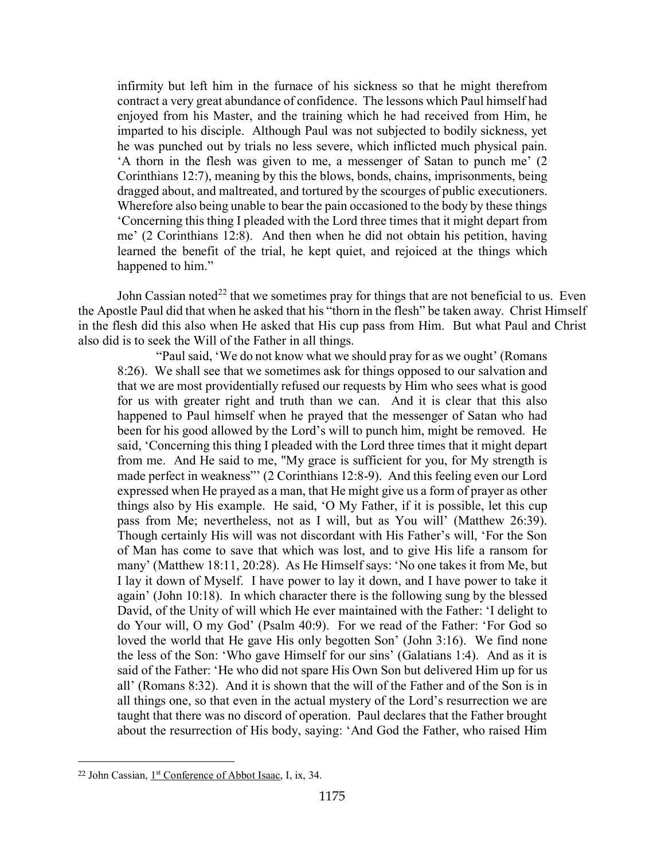infirmity but left him in the furnace of his sickness so that he might therefrom contract a very great abundance of confidence. The lessons which Paul himself had enjoyed from his Master, and the training which he had received from Him, he imparted to his disciple. Although Paul was not subjected to bodily sickness, yet he was punched out by trials no less severe, which inflicted much physical pain. 'A thorn in the flesh was given to me, a messenger of Satan to punch me' (2 Corinthians 12:7), meaning by this the blows, bonds, chains, imprisonments, being dragged about, and maltreated, and tortured by the scourges of public executioners. Wherefore also being unable to bear the pain occasioned to the body by these things 'Concerning this thing I pleaded with the Lord three times that it might depart from me' (2 Corinthians 12:8). And then when he did not obtain his petition, having learned the benefit of the trial, he kept quiet, and rejoiced at the things which happened to him."

John Cassian noted<sup>[22](#page-12-0)</sup> that we sometimes pray for things that are not beneficial to us. Even the Apostle Paul did that when he asked that his "thorn in the flesh" be taken away. Christ Himself in the flesh did this also when He asked that His cup pass from Him. But what Paul and Christ also did is to seek the Will of the Father in all things.

"Paul said, 'We do not know what we should pray for as we ought' (Romans 8:26). We shall see that we sometimes ask for things opposed to our salvation and that we are most providentially refused our requests by Him who sees what is good for us with greater right and truth than we can. And it is clear that this also happened to Paul himself when he prayed that the messenger of Satan who had been for his good allowed by the Lord's will to punch him, might be removed. He said, 'Concerning this thing I pleaded with the Lord three times that it might depart from me. And He said to me, "My grace is sufficient for you, for My strength is made perfect in weakness"' (2 Corinthians 12:8-9). And this feeling even our Lord expressed when He prayed as a man, that He might give us a form of prayer as other things also by His example. He said, 'O My Father, if it is possible, let this cup pass from Me; nevertheless, not as I will, but as You will' (Matthew 26:39). Though certainly His will was not discordant with His Father's will, 'For the Son of Man has come to save that which was lost, and to give His life a ransom for many' (Matthew 18:11, 20:28). As He Himself says: 'No one takes it from Me, but I lay it down of Myself. I have power to lay it down, and I have power to take it again' (John 10:18). In which character there is the following sung by the blessed David, of the Unity of will which He ever maintained with the Father: 'I delight to do Your will, O my God' (Psalm 40:9). For we read of the Father: 'For God so loved the world that He gave His only begotten Son' (John 3:16). We find none the less of the Son: 'Who gave Himself for our sins' (Galatians 1:4). And as it is said of the Father: 'He who did not spare His Own Son but delivered Him up for us all' (Romans 8:32). And it is shown that the will of the Father and of the Son is in all things one, so that even in the actual mystery of the Lord's resurrection we are taught that there was no discord of operation. Paul declares that the Father brought about the resurrection of His body, saying: 'And God the Father, who raised Him

<span id="page-12-0"></span> $22$  John Cassian,  $1<sup>st</sup>$  Conference of Abbot Isaac, I, ix, 34.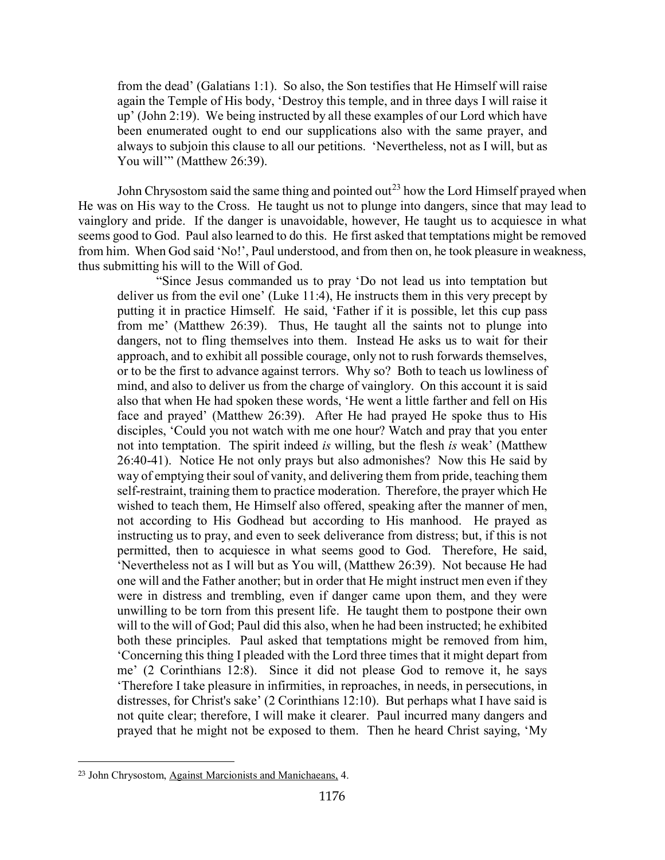from the dead' (Galatians 1:1). So also, the Son testifies that He Himself will raise again the Temple of His body, 'Destroy this temple, and in three days I will raise it up' (John 2:19). We being instructed by all these examples of our Lord which have been enumerated ought to end our supplications also with the same prayer, and always to subjoin this clause to all our petitions. 'Nevertheless, not as I will, but as You will'" (Matthew 26:39).

John Chrysostom said the same thing and pointed out<sup>[23](#page-13-0)</sup> how the Lord Himself prayed when He was on His way to the Cross. He taught us not to plunge into dangers, since that may lead to vainglory and pride. If the danger is unavoidable, however, He taught us to acquiesce in what seems good to God. Paul also learned to do this. He first asked that temptations might be removed from him. When God said 'No!', Paul understood, and from then on, he took pleasure in weakness, thus submitting his will to the Will of God.

"Since Jesus commanded us to pray 'Do not lead us into temptation but deliver us from the evil one' (Luke 11:4), He instructs them in this very precept by putting it in practice Himself. He said, 'Father if it is possible, let this cup pass from me' (Matthew 26:39). Thus, He taught all the saints not to plunge into dangers, not to fling themselves into them. Instead He asks us to wait for their approach, and to exhibit all possible courage, only not to rush forwards themselves, or to be the first to advance against terrors. Why so? Both to teach us lowliness of mind, and also to deliver us from the charge of vainglory. On this account it is said also that when He had spoken these words, 'He went a little farther and fell on His face and prayed' (Matthew 26:39). After He had prayed He spoke thus to His disciples, 'Could you not watch with me one hour? Watch and pray that you enter not into temptation. The spirit indeed *is* willing, but the flesh *is* weak' (Matthew 26:40-41). Notice He not only prays but also admonishes? Now this He said by way of emptying their soul of vanity, and delivering them from pride, teaching them self-restraint, training them to practice moderation. Therefore, the prayer which He wished to teach them, He Himself also offered, speaking after the manner of men, not according to His Godhead but according to His manhood. He prayed as instructing us to pray, and even to seek deliverance from distress; but, if this is not permitted, then to acquiesce in what seems good to God. Therefore, He said, 'Nevertheless not as I will but as You will, (Matthew 26:39). Not because He had one will and the Father another; but in order that He might instruct men even if they were in distress and trembling, even if danger came upon them, and they were unwilling to be torn from this present life. He taught them to postpone their own will to the will of God; Paul did this also, when he had been instructed; he exhibited both these principles. Paul asked that temptations might be removed from him, 'Concerning this thing I pleaded with the Lord three times that it might depart from me' (2 Corinthians 12:8). Since it did not please God to remove it, he says 'Therefore I take pleasure in infirmities, in reproaches, in needs, in persecutions, in distresses, for Christ's sake' (2 Corinthians 12:10). But perhaps what I have said is not quite clear; therefore, I will make it clearer. Paul incurred many dangers and prayed that he might not be exposed to them. Then he heard Christ saying, 'My

<span id="page-13-0"></span><sup>23</sup> John Chrysostom, Against Marcionists and Manichaeans, 4.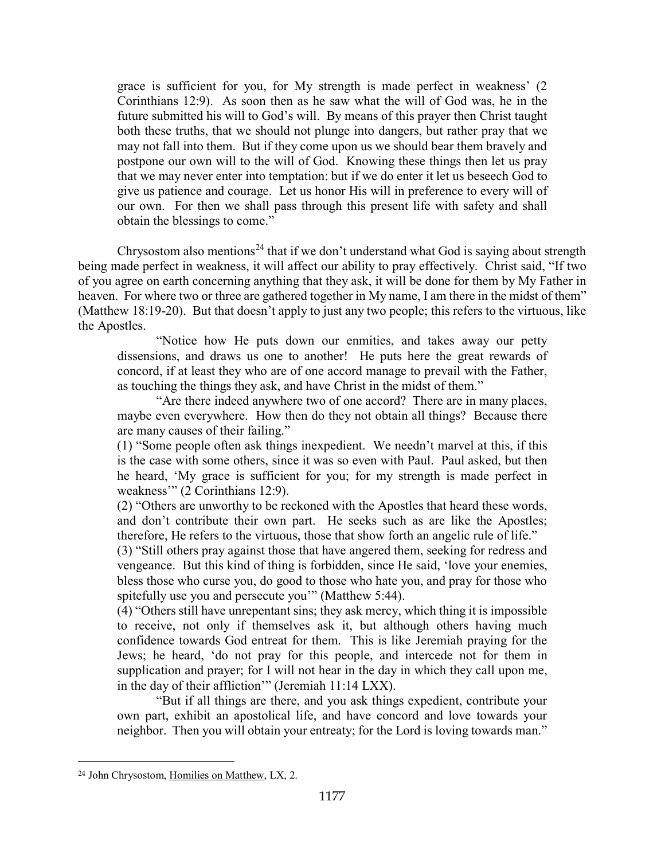grace is sufficient for you, for My strength is made perfect in weakness' (2 Corinthians 12:9). As soon then as he saw what the will of God was, he in the future submitted his will to God's will. By means of this prayer then Christ taught both these truths, that we should not plunge into dangers, but rather pray that we may not fall into them. But if they come upon us we should bear them bravely and postpone our own will to the will of God. Knowing these things then let us pray that we may never enter into temptation: but if we do enter it let us beseech God to give us patience and courage. Let us honor His will in preference to every will of our own. For then we shall pass through this present life with safety and shall obtain the blessings to come."

Chrysostom also mentions<sup>[24](#page-14-0)</sup> that if we don't understand what God is saying about strength being made perfect in weakness, it will affect our ability to pray effectively. Christ said, "If two of you agree on earth concerning anything that they ask, it will be done for them by My Father in heaven. For where two or three are gathered together in My name, I am there in the midst of them" (Matthew 18:19-20). But that doesn't apply to just any two people; this refers to the virtuous, like the Apostles.

"Notice how He puts down our enmities, and takes away our petty dissensions, and draws us one to another! He puts here the great rewards of concord, if at least they who are of one accord manage to prevail with the Father, as touching the things they ask, and have Christ in the midst of them."

"Are there indeed anywhere two of one accord? There are in many places, maybe even everywhere. How then do they not obtain all things? Because there are many causes of their failing."

(1) "Some people often ask things inexpedient. We needn't marvel at this, if this is the case with some others, since it was so even with Paul. Paul asked, but then he heard, 'My grace is sufficient for you; for my strength is made perfect in weakness" (2 Corinthians 12:9).

(2) "Others are unworthy to be reckoned with the Apostles that heard these words, and don't contribute their own part. He seeks such as are like the Apostles; therefore, He refers to the virtuous, those that show forth an angelic rule of life."

(3) "Still others pray against those that have angered them, seeking for redress and vengeance. But this kind of thing is forbidden, since He said, 'love your enemies, bless those who curse you, do good to those who hate you, and pray for those who spitefully use you and persecute you'" (Matthew 5:44).

(4) "Others still have unrepentant sins; they ask mercy, which thing it is impossible to receive, not only if themselves ask it, but although others having much confidence towards God entreat for them. This is like Jeremiah praying for the Jews; he heard, 'do not pray for this people, and intercede not for them in supplication and prayer; for I will not hear in the day in which they call upon me, in the day of their affliction'" (Jeremiah 11:14 LXX).

"But if all things are there, and you ask things expedient, contribute your own part, exhibit an apostolical life, and have concord and love towards your neighbor. Then you will obtain your entreaty; for the Lord is loving towards man."

<span id="page-14-0"></span><sup>24</sup> John Chrysostom, Homilies on Matthew, LX, 2.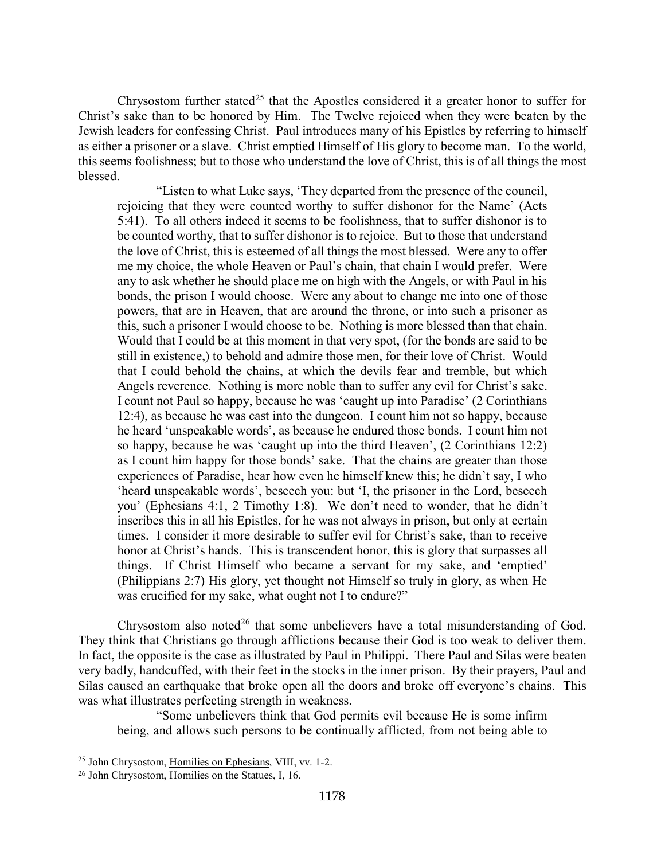Chrysostom further stated<sup>[25](#page-15-0)</sup> that the Apostles considered it a greater honor to suffer for Christ's sake than to be honored by Him. The Twelve rejoiced when they were beaten by the Jewish leaders for confessing Christ. Paul introduces many of his Epistles by referring to himself as either a prisoner or a slave. Christ emptied Himself of His glory to become man. To the world, this seems foolishness; but to those who understand the love of Christ, this is of all things the most blessed.

"Listen to what Luke says, 'They departed from the presence of the council, rejoicing that they were counted worthy to suffer dishonor for the Name' (Acts 5:41). To all others indeed it seems to be foolishness, that to suffer dishonor is to be counted worthy, that to suffer dishonor is to rejoice. But to those that understand the love of Christ, this is esteemed of all things the most blessed. Were any to offer me my choice, the whole Heaven or Paul's chain, that chain I would prefer. Were any to ask whether he should place me on high with the Angels, or with Paul in his bonds, the prison I would choose. Were any about to change me into one of those powers, that are in Heaven, that are around the throne, or into such a prisoner as this, such a prisoner I would choose to be. Nothing is more blessed than that chain. Would that I could be at this moment in that very spot, (for the bonds are said to be still in existence,) to behold and admire those men, for their love of Christ. Would that I could behold the chains, at which the devils fear and tremble, but which Angels reverence. Nothing is more noble than to suffer any evil for Christ's sake. I count not Paul so happy, because he was 'caught up into Paradise' (2 Corinthians 12:4), as because he was cast into the dungeon. I count him not so happy, because he heard 'unspeakable words', as because he endured those bonds. I count him not so happy, because he was 'caught up into the third Heaven', (2 Corinthians 12:2) as I count him happy for those bonds' sake. That the chains are greater than those experiences of Paradise, hear how even he himself knew this; he didn't say, I who 'heard unspeakable words', beseech you: but 'I, the prisoner in the Lord, beseech you' (Ephesians 4:1, 2 Timothy 1:8). We don't need to wonder, that he didn't inscribes this in all his Epistles, for he was not always in prison, but only at certain times. I consider it more desirable to suffer evil for Christ's sake, than to receive honor at Christ's hands. This is transcendent honor, this is glory that surpasses all things. If Christ Himself who became a servant for my sake, and 'emptied' (Philippians 2:7) His glory, yet thought not Himself so truly in glory, as when He was crucified for my sake, what ought not I to endure?"

Chrysostom also noted<sup>[26](#page-15-1)</sup> that some unbelievers have a total misunderstanding of God. They think that Christians go through afflictions because their God is too weak to deliver them. In fact, the opposite is the case as illustrated by Paul in Philippi. There Paul and Silas were beaten very badly, handcuffed, with their feet in the stocks in the inner prison. By their prayers, Paul and Silas caused an earthquake that broke open all the doors and broke off everyone's chains. This was what illustrates perfecting strength in weakness.

"Some unbelievers think that God permits evil because He is some infirm being, and allows such persons to be continually afflicted, from not being able to

<span id="page-15-0"></span><sup>25</sup> John Chrysostom, Homilies on Ephesians, VIII, vv. 1-2.

<span id="page-15-1"></span><sup>26</sup> John Chrysostom, Homilies on the Statues, I, 16.